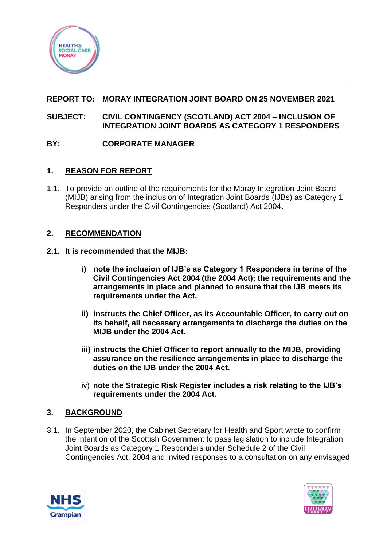

## **REPORT TO: MORAY INTEGRATION JOINT BOARD ON 25 NOVEMBER 2021**

#### **SUBJECT: CIVIL CONTINGENCY (SCOTLAND) ACT 2004 – INCLUSION OF INTEGRATION JOINT BOARDS AS CATEGORY 1 RESPONDERS**

## **BY: CORPORATE MANAGER**

## **1. REASON FOR REPORT**

1.1. To provide an outline of the requirements for the Moray Integration Joint Board (MIJB) arising from the inclusion of Integration Joint Boards (IJBs) as Category 1 Responders under the Civil Contingencies (Scotland) Act 2004.

## **2. RECOMMENDATION**

#### **2.1. It is recommended that the MIJB:**

- **i) note the inclusion of IJB's as Category 1 Responders in terms of the Civil Contingencies Act 2004 (the 2004 Act); the requirements and the arrangements in place and planned to ensure that the IJB meets its requirements under the Act.**
- **ii) instructs the Chief Officer, as its Accountable Officer, to carry out on its behalf, all necessary arrangements to discharge the duties on the MIJB under the 2004 Act.**
- **iii) instructs the Chief Officer to report annually to the MIJB, providing assurance on the resilience arrangements in place to discharge the duties on the IJB under the 2004 Act.**
- iv) **note the Strategic Risk Register includes a risk relating to the IJB's requirements under the 2004 Act.**

## **3. BACKGROUND**

3.1. In September 2020, the Cabinet Secretary for Health and Sport wrote to confirm the intention of the Scottish Government to pass legislation to include Integration Joint Boards as Category 1 Responders under Schedule 2 of the Civil Contingencies Act, 2004 and invited responses to a consultation on any envisaged



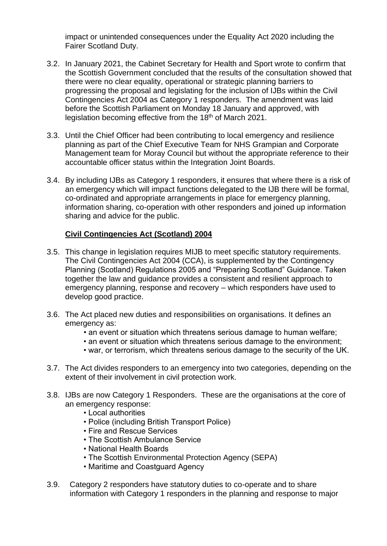impact or unintended consequences under the Equality Act 2020 including the Fairer Scotland Duty.

- 3.2. In January 2021, the Cabinet Secretary for Health and Sport wrote to confirm that the Scottish Government concluded that the results of the consultation showed that there were no clear equality, operational or strategic planning barriers to progressing the proposal and legislating for the inclusion of IJBs within the Civil Contingencies Act 2004 as Category 1 responders. The amendment was laid before the Scottish Parliament on Monday 18 January and approved, with legislation becoming effective from the 18<sup>th</sup> of March 2021.
- 3.3. Until the Chief Officer had been contributing to local emergency and resilience planning as part of the Chief Executive Team for NHS Grampian and Corporate Management team for Moray Council but without the appropriate reference to their accountable officer status within the Integration Joint Boards.
- 3.4. By including IJBs as Category 1 responders, it ensures that where there is a risk of an emergency which will impact functions delegated to the IJB there will be formal, co-ordinated and appropriate arrangements in place for emergency planning, information sharing, co-operation with other responders and joined up information sharing and advice for the public.

## **Civil Contingencies Act (Scotland) 2004**

- 3.5. This change in legislation requires MIJB to meet specific statutory requirements. The Civil Contingencies Act 2004 (CCA), is supplemented by the Contingency Planning (Scotland) Regulations 2005 and "Preparing Scotland" Guidance. Taken together the law and guidance provides a consistent and resilient approach to emergency planning, response and recovery – which responders have used to develop good practice.
- 3.6. The Act placed new duties and responsibilities on organisations. It defines an emergency as:
	- an event or situation which threatens serious damage to human welfare;
	- an event or situation which threatens serious damage to the environment;
	- war, or terrorism, which threatens serious damage to the security of the UK.
- 3.7. The Act divides responders to an emergency into two categories, depending on the extent of their involvement in civil protection work.
- 3.8. IJBs are now Category 1 Responders. These are the organisations at the core of an emergency response:
	- Local authorities
	- Police (including British Transport Police)
	- Fire and Rescue Services
	- The Scottish Ambulance Service
	- National Health Boards
	- The Scottish Environmental Protection Agency (SEPA)
	- Maritime and Coastguard Agency
- 3.9. Category 2 responders have statutory duties to co-operate and to share information with Category 1 responders in the planning and response to major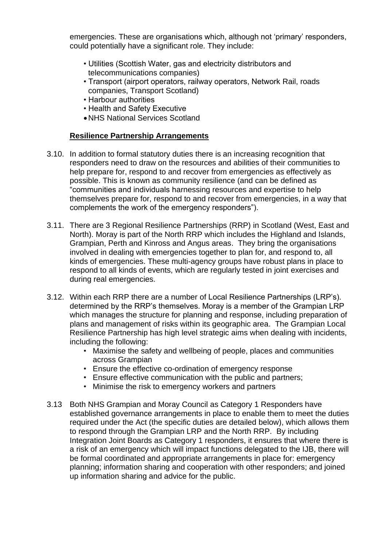emergencies. These are organisations which, although not 'primary' responders, could potentially have a significant role. They include:

- Utilities (Scottish Water, gas and electricity distributors and telecommunications companies)
- Transport (airport operators, railway operators, Network Rail, roads companies, Transport Scotland)
- Harbour authorities
- Health and Safety Executive
- •NHS National Services Scotland

#### **Resilience Partnership Arrangements**

- 3.10. In addition to formal statutory duties there is an increasing recognition that responders need to draw on the resources and abilities of their communities to help prepare for, respond to and recover from emergencies as effectively as possible. This is known as community resilience (and can be defined as "communities and individuals harnessing resources and expertise to help themselves prepare for, respond to and recover from emergencies, in a way that complements the work of the emergency responders").
- 3.11. There are 3 Regional Resilience Partnerships (RRP) in Scotland (West, East and North). Moray is part of the North RRP which includes the Highland and Islands, Grampian, Perth and Kinross and Angus areas. They bring the organisations involved in dealing with emergencies together to plan for, and respond to, all kinds of emergencies. These multi-agency groups have robust plans in place to respond to all kinds of events, which are regularly tested in joint exercises and during real emergencies.
- 3.12. Within each RRP there are a number of Local Resilience Partnerships (LRP's). determined by the RRP's themselves. Moray is a member of the Grampian LRP which manages the structure for planning and response, including preparation of plans and management of risks within its geographic area. The Grampian Local Resilience Partnership has high level strategic aims when dealing with incidents, including the following:
	- Maximise the safety and wellbeing of people, places and communities across Grampian
	- Ensure the effective co-ordination of emergency response
	- Ensure effective communication with the public and partners;
	- Minimise the risk to emergency workers and partners
- 3.13 Both NHS Grampian and Moray Council as Category 1 Responders have established governance arrangements in place to enable them to meet the duties required under the Act (the specific duties are detailed below), which allows them to respond through the Grampian LRP and the North RRP. By including Integration Joint Boards as Category 1 responders, it ensures that where there is a risk of an emergency which will impact functions delegated to the IJB, there will be formal coordinated and appropriate arrangements in place for: emergency planning; information sharing and cooperation with other responders; and joined up information sharing and advice for the public.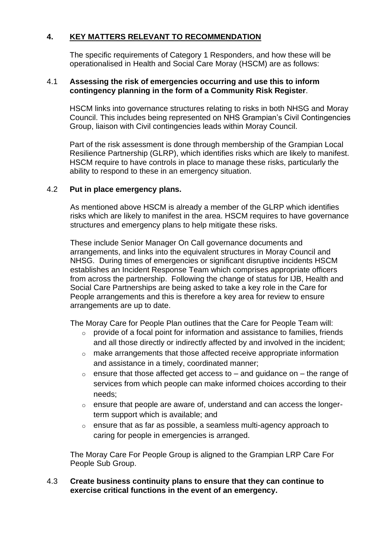## **4. KEY MATTERS RELEVANT TO RECOMMENDATION**

The specific requirements of Category 1 Responders, and how these will be operationalised in Health and Social Care Moray (HSCM) are as follows:

#### 4.1 **Assessing the risk of emergencies occurring and use this to inform contingency planning in the form of a Community Risk Register**.

HSCM links into governance structures relating to risks in both NHSG and Moray Council. This includes being represented on NHS Grampian's Civil Contingencies Group, liaison with Civil contingencies leads within Moray Council.

Part of the risk assessment is done through membership of the Grampian Local Resilience Partnership (GLRP), which identifies risks which are likely to manifest. HSCM require to have controls in place to manage these risks, particularly the ability to respond to these in an emergency situation.

#### 4.2 **Put in place emergency plans.**

As mentioned above HSCM is already a member of the GLRP which identifies risks which are likely to manifest in the area. HSCM requires to have governance structures and emergency plans to help mitigate these risks.

These include Senior Manager On Call governance documents and arrangements, and links into the equivalent structures in Moray Council and NHSG. During times of emergencies or significant disruptive incidents HSCM establishes an Incident Response Team which comprises appropriate officers from across the partnership. Following the change of status for IJB, Health and Social Care Partnerships are being asked to take a key role in the Care for People arrangements and this is therefore a key area for review to ensure arrangements are up to date.

The Moray Care for People Plan outlines that the Care for People Team will:

- o provide of a focal point for information and assistance to families, friends and all those directly or indirectly affected by and involved in the incident;
- o make arrangements that those affected receive appropriate information and assistance in a timely, coordinated manner;
- $\circ$  ensure that those affected get access to and guidance on the range of services from which people can make informed choices according to their needs;
- o ensure that people are aware of, understand and can access the longerterm support which is available; and
- o ensure that as far as possible, a seamless multi-agency approach to caring for people in emergencies is arranged.

The Moray Care For People Group is aligned to the Grampian LRP Care For People Sub Group.

#### 4.3 **Create business continuity plans to ensure that they can continue to exercise critical functions in the event of an emergency.**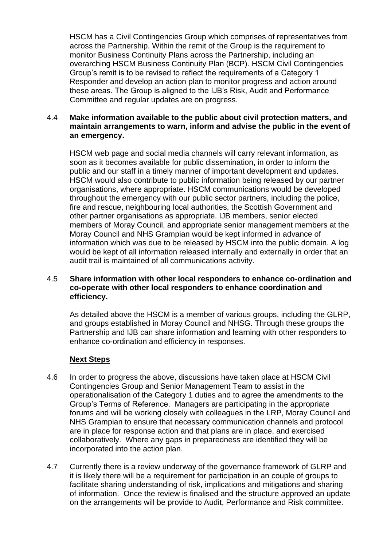HSCM has a Civil Contingencies Group which comprises of representatives from across the Partnership. Within the remit of the Group is the requirement to monitor Business Continuity Plans across the Partnership, including an overarching HSCM Business Continuity Plan (BCP). HSCM Civil Contingencies Group's remit is to be revised to reflect the requirements of a Category 1 Responder and develop an action plan to monitor progress and action around these areas. The Group is aligned to the IJB's Risk, Audit and Performance Committee and regular updates are on progress.

#### 4.4 **Make information available to the public about civil protection matters, and maintain arrangements to warn, inform and advise the public in the event of an emergency.**

HSCM web page and social media channels will carry relevant information, as soon as it becomes available for public dissemination, in order to inform the public and our staff in a timely manner of important development and updates. HSCM would also contribute to public information being released by our partner organisations, where appropriate. HSCM communications would be developed throughout the emergency with our public sector partners, including the police, fire and rescue, neighbouring local authorities, the Scottish Government and other partner organisations as appropriate. IJB members, senior elected members of Moray Council, and appropriate senior management members at the Moray Council and NHS Grampian would be kept informed in advance of information which was due to be released by HSCM into the public domain. A log would be kept of all information released internally and externally in order that an audit trail is maintained of all communications activity.

#### 4.5 **Share information with other local responders to enhance co-ordination and co-operate with other local responders to enhance coordination and efficiency.**

As detailed above the HSCM is a member of various groups, including the GLRP, and groups established in Moray Council and NHSG. Through these groups the Partnership and IJB can share information and learning with other responders to enhance co-ordination and efficiency in responses.

## **Next Steps**

- 4.6 In order to progress the above, discussions have taken place at HSCM Civil Contingencies Group and Senior Management Team to assist in the operationalisation of the Category 1 duties and to agree the amendments to the Group's Terms of Reference. Managers are participating in the appropriate forums and will be working closely with colleagues in the LRP, Moray Council and NHS Grampian to ensure that necessary communication channels and protocol are in place for response action and that plans are in place, and exercised collaboratively. Where any gaps in preparedness are identified they will be incorporated into the action plan.
- 4.7 Currently there is a review underway of the governance framework of GLRP and it is likely there will be a requirement for participation in an couple of groups to facilitate sharing understanding of risk, implications and mitigations and sharing of information. Once the review is finalised and the structure approved an update on the arrangements will be provide to Audit, Performance and Risk committee.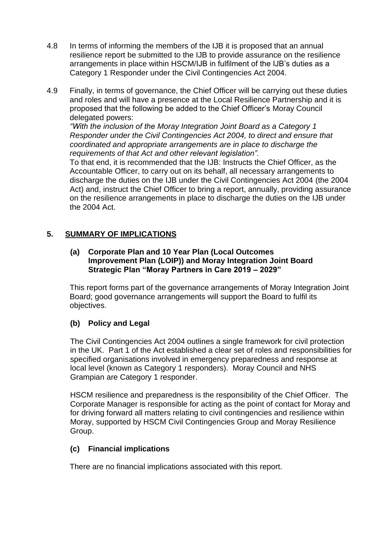- 4.8 In terms of informing the members of the IJB it is proposed that an annual resilience report be submitted to the IJB to provide assurance on the resilience arrangements in place within HSCM/IJB in fulfilment of the IJB's duties as a Category 1 Responder under the Civil Contingencies Act 2004.
- 4.9 Finally, in terms of governance, the Chief Officer will be carrying out these duties and roles and will have a presence at the Local Resilience Partnership and it is proposed that the following be added to the Chief Officer's Moray Council delegated powers:

*"With the inclusion of the Moray Integration Joint Board as a Category 1 Responder under the Civil Contingencies Act 2004, to direct and ensure that coordinated and appropriate arrangements are in place to discharge the requirements of that Act and other relevant legislation".*

To that end, it is recommended that the IJB: Instructs the Chief Officer, as the Accountable Officer, to carry out on its behalf, all necessary arrangements to discharge the duties on the IJB under the Civil Contingencies Act 2004 (the 2004 Act) and, instruct the Chief Officer to bring a report, annually, providing assurance on the resilience arrangements in place to discharge the duties on the IJB under the 2004 Act.

## **5. SUMMARY OF IMPLICATIONS**

#### **(a) Corporate Plan and 10 Year Plan (Local Outcomes Improvement Plan (LOIP)) and Moray Integration Joint Board Strategic Plan "Moray Partners in Care 2019 – 2029"**

This report forms part of the governance arrangements of Moray Integration Joint Board; good governance arrangements will support the Board to fulfil its objectives.

# **(b) Policy and Legal**

The Civil Contingencies Act 2004 outlines a single framework for civil protection in the UK. Part 1 of the Act established a clear set of roles and responsibilities for specified organisations involved in emergency preparedness and response at local level (known as Category 1 responders). Moray Council and NHS Grampian are Category 1 responder.

HSCM resilience and preparedness is the responsibility of the Chief Officer. The Corporate Manager is responsible for acting as the point of contact for Moray and for driving forward all matters relating to civil contingencies and resilience within Moray, supported by HSCM Civil Contingencies Group and Moray Resilience Group.

## **(c) Financial implications**

There are no financial implications associated with this report.